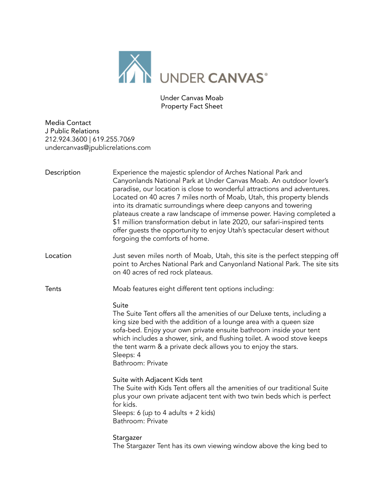

Under Canvas Moab Property Fact Sheet

Media Contact J Public Relations 212.924.3600 | 619.255.7069 undercanvas@jpublicrelations.com

| Description  | Experience the majestic splendor of Arches National Park and<br>Canyonlands National Park at Under Canvas Moab. An outdoor lover's<br>paradise, our location is close to wonderful attractions and adventures.<br>Located on 40 acres 7 miles north of Moab, Utah, this property blends<br>into its dramatic surroundings where deep canyons and towering<br>plateaus create a raw landscape of immense power. Having completed a<br>\$1 million transformation debut in late 2020, our safari-inspired tents<br>offer guests the opportunity to enjoy Utah's spectacular desert without<br>forgoing the comforts of home. |
|--------------|----------------------------------------------------------------------------------------------------------------------------------------------------------------------------------------------------------------------------------------------------------------------------------------------------------------------------------------------------------------------------------------------------------------------------------------------------------------------------------------------------------------------------------------------------------------------------------------------------------------------------|
| Location     | Just seven miles north of Moab, Utah, this site is the perfect stepping off<br>point to Arches National Park and Canyonland National Park. The site sits<br>on 40 acres of red rock plateaus.                                                                                                                                                                                                                                                                                                                                                                                                                              |
| <b>Tents</b> | Moab features eight different tent options including:                                                                                                                                                                                                                                                                                                                                                                                                                                                                                                                                                                      |
|              | Suite<br>The Suite Tent offers all the amenities of our Deluxe tents, including a<br>king size bed with the addition of a lounge area with a queen size<br>sofa-bed. Enjoy your own private ensuite bathroom inside your tent<br>which includes a shower, sink, and flushing toilet. A wood stove keeps<br>the tent warm & a private deck allows you to enjoy the stars.<br>Sleeps: 4<br>Bathroom: Private                                                                                                                                                                                                                 |
|              | Suite with Adjacent Kids tent<br>The Suite with Kids Tent offers all the amenities of our traditional Suite<br>plus your own private adjacent tent with two twin beds which is perfect<br>for kids.<br>Sleeps: 6 (up to 4 adults + 2 kids)<br>Bathroom: Private                                                                                                                                                                                                                                                                                                                                                            |
|              | Stargazer<br>The Stargazer Tent has its own viewing window above the king bed to                                                                                                                                                                                                                                                                                                                                                                                                                                                                                                                                           |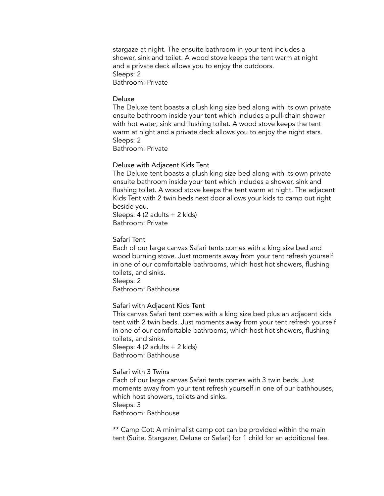stargaze at night. The ensuite bathroom in your tent includes a shower, sink and toilet. A wood stove keeps the tent warm at night and a private deck allows you to enjoy the outdoors. Sleeps: 2 Bathroom: Private

#### Deluxe

The Deluxe tent boasts a plush king size bed along with its own private ensuite bathroom inside your tent which includes a pull-chain shower with hot water, sink and flushing toilet. A wood stove keeps the tent warm at night and a private deck allows you to enjoy the night stars. Sleeps: 2 Bathroom: Private

# Deluxe with Adjacent Kids Tent

The Deluxe tent boasts a plush king size bed along with its own private ensuite bathroom inside your tent which includes a shower, sink and flushing toilet. A wood stove keeps the tent warm at night. The adjacent Kids Tent with 2 twin beds next door allows your kids to camp out right beside you. Sleeps: 4 (2 adults + 2 kids)

Bathroom: Private

#### Safari Tent

Each of our large canvas Safari tents comes with a king size bed and wood burning stove. Just moments away from your tent refresh yourself in one of our comfortable bathrooms, which host hot showers, flushing toilets, and sinks.

Sleeps: 2

Bathroom: Bathhouse

#### Safari with Adjacent Kids Tent

This canvas Safari tent comes with a king size bed plus an adjacent kids tent with 2 twin beds. Just moments away from your tent refresh yourself in one of our comfortable bathrooms, which host hot showers, flushing toilets, and sinks. Sleeps: 4 (2 adults + 2 kids) Bathroom: Bathhouse

#### Safari with 3 Twins

Each of our large canvas Safari tents comes with 3 twin beds. Just moments away from your tent refresh yourself in one of our bathhouses, which host showers, toilets and sinks. Sleeps: 3 Bathroom: Bathhouse

\*\* Camp Cot: A minimalist camp cot can be provided within the main tent (Suite, Stargazer, Deluxe or Safari) for 1 child for an additional fee.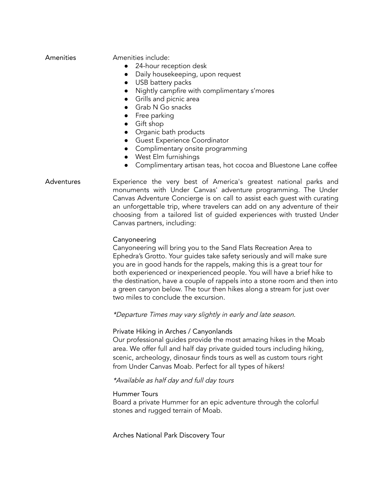| Amenities |  |
|-----------|--|
|           |  |
|           |  |

Amenities include:

- 24-hour reception desk
- Daily housekeeping, upon request
- USB battery packs
- Nightly campfire with complimentary s'mores
- Grills and picnic area
- Grab N Go snacks
- Free parking
- Gift shop
- Organic bath products
- Guest Experience Coordinator
- Complimentary onsite programming
- West Elm furnishings
- Complimentary artisan teas, hot cocoa and Bluestone Lane coffee
- Adventures Experience the very best of America's greatest national parks and monuments with Under Canvas' adventure programming. The Under Canvas Adventure Concierge is on call to assist each guest with curating an unforgettable trip, where travelers can add on any adventure of their choosing from a tailored list of guided experiences with trusted Under Canvas partners, including:

### Canyoneering

Canyoneering will bring you to the Sand Flats Recreation Area to Ephedra's Grotto. Your guides take safety seriously and will make sure you are in good hands for the rappels, making this is a great tour for both experienced or inexperienced people. You will have a brief hike to the destination, have a couple of rappels into a stone room and then into a green canyon below. The tour then hikes along a stream for just over two miles to conclude the excursion.

\*Departure Times may vary slightly in early and late season.

#### Private Hiking in Arches / Canyonlands

Our professional guides provide the most amazing hikes in the Moab area. We offer full and half day private guided tours including hiking, scenic, archeology, dinosaur finds tours as well as custom tours right from Under Canvas Moab. Perfect for all types of hikers!

#### \*Available as half day and full day tours

#### Hummer Tours

Board a private Hummer for an epic adventure through the colorful stones and rugged terrain of Moab.

Arches National Park Discovery Tour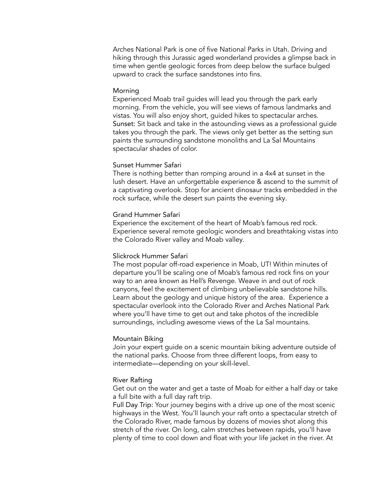Arches National Park is one of five National Parks in Utah. Driving and hiking through this Jurassic aged wonderland provides a glimpse back in time when gentle geologic forces from deep below the surface bulged upward to crack the surface sandstones into fins.

#### Morning

Experienced Moab trail guides will lead you through the park early morning. From the vehicle, you will see views of famous landmarks and vistas. You will also enjoy short, guided hikes to spectacular arches. Sunset: Sit back and take in the astounding views as a professional guide takes you through the park. The views only get better as the setting sun paints the surrounding sandstone monoliths and La Sal Mountains spectacular shades of color.

## Sunset Hummer Safari

There is nothing better than romping around in a 4x4 at sunset in the lush desert. Have an unforgettable experience & ascend to the summit of a captivating overlook. Stop for ancient dinosaur tracks embedded in the rock surface, while the desert sun paints the evening sky.

# Grand Hummer Safari

Experience the excitement of the heart of Moab's famous red rock. Experience several remote geologic wonders and breathtaking vistas into the Colorado River valley and Moab valley.

# Slickrock Hummer Safari

The most popular off-road experience in Moab, UT! Within minutes of departure you'll be scaling one of Moab's famous red rock fins on your way to an area known as Hell's Revenge. Weave in and out of rock canyons, feel the excitement of climbing unbelievable sandstone hills. Learn about the geology and unique history of the area. Experience a spectacular overlook into the Colorado River and Arches National Park where you'll have time to get out and take photos of the incredible surroundings, including awesome views of the La Sal mountains.

#### Mountain Biking

Join your expert guide on a scenic mountain biking adventure outside of the national parks. Choose from three different loops, from easy to intermediate—depending on your skill-level.

### River Rafting

Get out on the water and get a taste of Moab for either a half day or take a full bite with a full day raft trip.

Full Day Trip: Your journey begins with a drive up one of the most scenic highways in the West. You'll launch your raft onto a spectacular stretch of the Colorado River, made famous by dozens of movies shot along this stretch of the river. On long, calm stretches between rapids, you'll have plenty of time to cool down and float with your life jacket in the river. At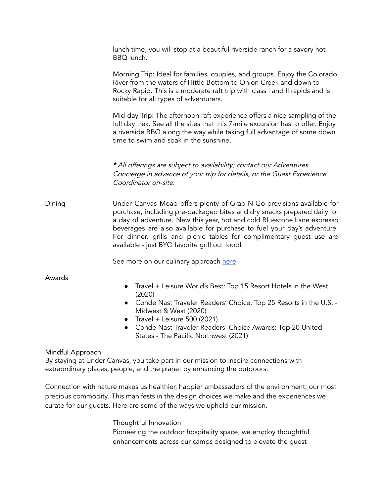|        | lunch time, you will stop at a beautiful riverside ranch for a savory hot<br>BBQ lunch.                                                                                                                                                                                                                                                                                                                                          |
|--------|----------------------------------------------------------------------------------------------------------------------------------------------------------------------------------------------------------------------------------------------------------------------------------------------------------------------------------------------------------------------------------------------------------------------------------|
|        | Morning Trip: Ideal for families, couples, and groups. Enjoy the Colorado<br>River from the waters of Hittle Bottom to Onion Creek and down to<br>Rocky Rapid. This is a moderate raft trip with class I and II rapids and is<br>suitable for all types of adventurers.                                                                                                                                                          |
|        | Mid-day Trip: The afternoon raft experience offers a nice sampling of the<br>full day trek. See all the sites that this 7-mile excursion has to offer. Enjoy<br>a riverside BBQ along the way while taking full advantage of some down<br>time to swim and soak in the sunshine.                                                                                                                                                 |
|        | * All offerings are subject to availability; contact our Adventures<br>Concierge in advance of your trip for details, or the Guest Experience<br>Coordinator on-site.                                                                                                                                                                                                                                                            |
| Dining | Under Canvas Moab offers plenty of Grab N Go provisions available for<br>purchase, including pre-packaged bites and dry snacks prepared daily for<br>a day of adventure. New this year, hot and cold Bluestone Lane espresso<br>beverages are also available for purchase to fuel your day's adventure.<br>For dinner, grills and picnic tables for complimentary guest use are<br>available - just BYO favorite grill out food! |
|        | See more on our culinary approach here.                                                                                                                                                                                                                                                                                                                                                                                          |
| Awards | Travel + Leisure World's Best: Top 15 Resort Hotels in the West                                                                                                                                                                                                                                                                                                                                                                  |

- (2020)
- Conde Nast Traveler Readers' Choice: Top 25 Resorts in the U.S. Midwest & West (2020)
- $\bullet$  Travel + Leisure 500 (2021)
- Conde Nast Traveler Readers' Choice Awards: Top 20 United States - The Pacific Northwest (2021)

# Mindful Approach

By staying at Under Canvas, you take part in our mission to inspire connections with extraordinary places, people, and the planet by enhancing the outdoors.

Connection with nature makes us healthier, happier ambassadors of the environment; our most precious commodity. This manifests in the design choices we make and the experiences we curate for our guests. Here are some of the ways we uphold our mission.

# Thoughtful Innovation

Pioneering the outdoor hospitality space, we employ thoughtful enhancements across our camps designed to elevate the guest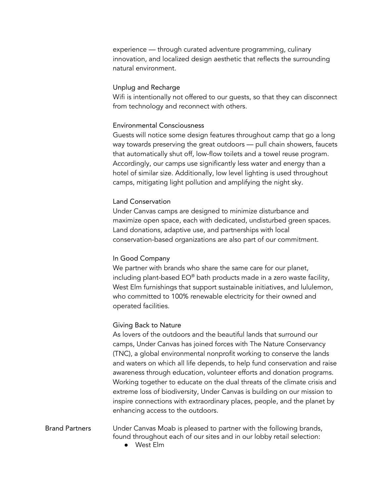experience — through curated adventure programming, culinary innovation, and localized design aesthetic that reflects the surrounding natural environment.

# Unplug and Recharge

Wifi is intentionally not offered to our guests, so that they can disconnect from technology and reconnect with others.

# Environmental Consciousness

Guests will notice some design features throughout camp that go a long way towards preserving the great outdoors — pull chain showers, faucets that automatically shut off, low-flow toilets and a towel reuse program. Accordingly, our camps use significantly less water and energy than a hotel of similar size. Additionally, low level lighting is used throughout camps, mitigating light pollution and amplifying the night sky.

# Land Conservation

Under Canvas camps are designed to minimize disturbance and maximize open space, each with dedicated, undisturbed green spaces. Land donations, adaptive use, and partnerships with local conservation-based organizations are also part of our commitment.

### In Good Company

We partner with brands who share the same care for our planet, including plant-based EO® bath products made in a zero waste facility, West Elm furnishings that support sustainable initiatives, and lululemon, who committed to 100% renewable electricity for their owned and operated facilities.

# Giving Back to Nature

As lovers of the outdoors and the beautiful lands that surround our camps, Under Canvas has joined forces with The Nature Conservancy (TNC), a global environmental nonprofit working to conserve the lands and waters on which all life depends, to help fund conservation and raise awareness through education, volunteer efforts and donation programs. Working together to educate on the dual threats of the climate crisis and extreme loss of biodiversity, Under Canvas is building on our mission to inspire connections with extraordinary places, people, and the planet by enhancing access to the outdoors.

Brand Partners Under Canvas Moab is pleased to partner with the following brands, found throughout each of our sites and in our lobby retail selection:

● West Elm